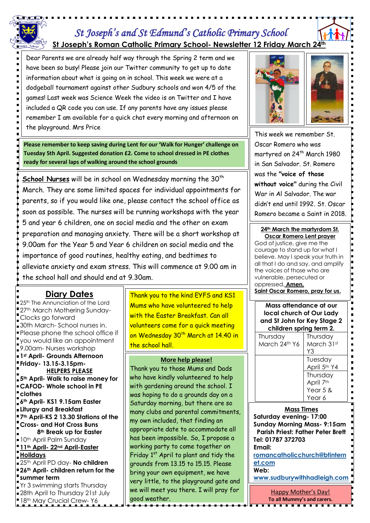# *St Joseph's and St Edmund's Catholic Primary School*  **St Joseph's Roman Catholic Primary School- Newsletter 12 Friday March 24th**

Dear Parents we are already half way through the Spring 2 term and we have been so busy! Please join our Twitter community to get up to date information about what is going on in school. This week we were at a dodgeball tournament against other Sudbury schools and won 4/5 of the games! Last week was Science Week the video is on Twitter and I have included a QR code you can use. If any parents have any issues please remember I am available for a quick chat every morning and afternoon on the playground. Mrs Price

**Please remember to keep saving during Lent for our 'Walk for Hunger' challenge on Tuesday 5th April. Suggested donation £2. Come to school dressed in PE clothes ready for several laps of walking around the school grounds**

**School Nurses** will be in school on Wednesday morning the 30<sup>th</sup> March. They are some limited spaces for individual appointments for parents, so if you would like one, please contact the school office as soon as possible. The nurses will be running workshops with the year 5 and year 6 children, one on social media and the other on exam preparation and managing anxiety. There will be a short workshop at 9.00am for the Year 5 and Year 6 children on social media and the importance of good routines, healthy eating, and bedtimes to alleviate anxiety and exam stress. This will commence at 9.00 am in the school hall and should end at 9.30am.

## **Diary Dates**

**25th The Annunciation of the Lord** <sup>1</sup>27th March Mothering Sunday-Clocks go forward 30th March- School nurses in. Please phone the school office if you would like an appointment 9.00am- Nurses workshop **1st April- Grounds Afternoon Friday- 13.15-3.15pm-HELPERS PLEASE 5th April- Walk to raise money for CAFOD- Whole school in PE clothes 6th April- KS1 9.15am Easter Liturgy and Breakfast 7th April-KS 2 13.30 Stations of the Cross- and Hot Cross Buns 8th Break up for Easter 10th April Palm Sunday 11th April- 22nd April-Easter Holidays** 25th April PD day- **No children 26th April- children return for the summer term** Yr 3 swimming starts Thursday 28th April to Thursday 21st July 18th May Crucial Crew- Y6

Thank you to the kind EYFS and KS1 Mums who have volunteered to help with the Easter Breakfast. Can all volunteers come for a quick meeting on Wednesday 30<sup>th</sup> March at 14.40 in the school hall.

#### **More help please!**

Thank you to those Mums and Dads who have kindly volunteered to help with gardening around the school. I was hoping to do a grounds day on a Saturday morning, but there are so many clubs and parental commitments, my own included, that finding an appropriate date to accommodate all has been impossible. So, I propose a working party to come together on Friday  $1<sup>st</sup>$  April to plant and tidy the grounds from 13.15 to 15.15. Please bring your own equipment, we have very little, to the playground gate and we will meet you there. I will pray for good weather.



This week we remember St. Oscar Romero who was martyred on 24<sup>th</sup> March 1980 in San Salvador. St. Romero was the **"voice of those without voice"** during the Civil War in Al Salvador. The war didn't end until 1992. St. Oscar Romero became a Saint in 2018.

#### **24th March the martyrdom St. Oscar Romero Lent prayer**

God of justice, give me the courage to stand up for what I believe. May I speak your truth in all that I do and say, and amplify the voices of those who are vulnerable, persecuted or oppressed. **Amen.** 

**Saint Oscar Romero, pray for us.**

**Mass attendance at our local church of Our Lady and St John for Key Stage 2 children spring term 2.** Thursday March 24th Y6 Thursday March 31st Y3 Tuesday April 5th Y4 Thursday April 7<sup>th</sup> Year 5 & Year 6

### **Mass Times**

**Saturday evening- 17:00 Sunday Morning Mass- 9:15am Parish Priest: Father Peter Brett Tel: 01787 372703 Email:** 

**[romancatholicchurch@btintern](mailto:romancatholicchurch@btinternet.com) [et.com](mailto:romancatholicchurch@btinternet.com)**

**Web:** 

**[www.sudburywithhadleigh.com](http://www.sudburywithhadleigh.com/)**

Happy Mother's Day! **To all Mummy's and carers.**